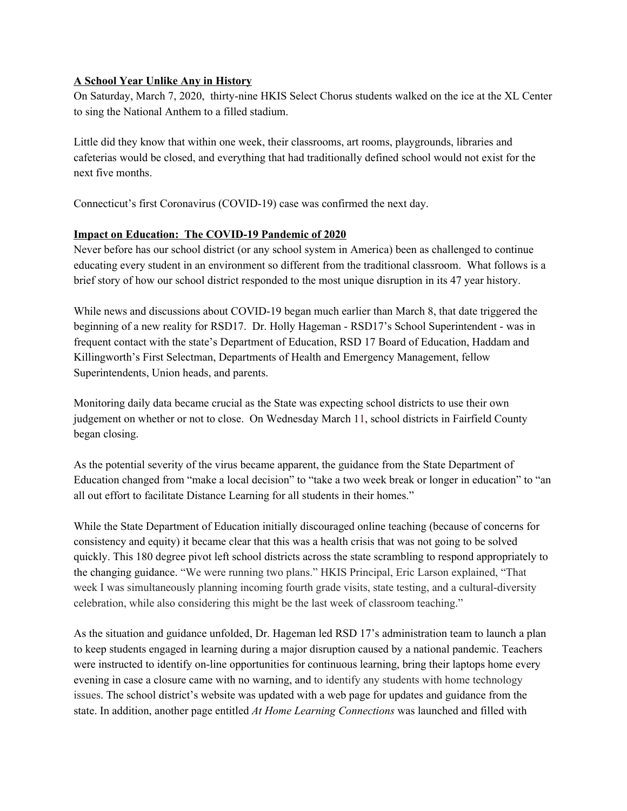## **A School Year Unlike Any in History**

On Saturday, March 7, 2020, thirty-nine HKIS Select Chorus students walked on the ice at the XL Center to sing the National Anthem to a filled stadium.

Little did they know that within one week, their classrooms, art rooms, playgrounds, libraries and cafeterias would be closed, and everything that had traditionally defined school would not exist for the next five months.

Connecticut's first Coronavirus (COVID-19) case was confirmed the next day.

## **Impact on Education: The COVID-19 Pandemic of 2020**

Never before has our school district (or any school system in America) been as challenged to continue educating every student in an environment so different from the traditional classroom. What follows is a brief story of how our school district responded to the most unique disruption in its 47 year history.

While news and discussions about COVID-19 began much earlier than March 8, that date triggered the beginning of a new reality for RSD17. Dr. Holly Hageman - RSD17's School Superintendent - was in frequent contact with the state's Department of Education, RSD 17 Board of Education, Haddam and Killingworth's First Selectman, Departments of Health and Emergency Management, fellow Superintendents, Union heads, and parents.

Monitoring daily data became crucial as the State was expecting school districts to use their own judgement on whether or not to close. On Wednesday March 11, school districts in Fairfield County began closing.

As the potential severity of the virus became apparent, the guidance from the State Department of Education changed from "make a local decision" to "take a two week break or longer in education" to "an all out effort to facilitate Distance Learning for all students in their homes."

While the State Department of Education initially discouraged online teaching (because of concerns for consistency and equity) it became clear that this was a health crisis that was not going to be solved quickly. This 180 degree pivot left school districts across the state scrambling to respond appropriately to the changing guidance. "We were running two plans." HKIS Principal, Eric Larson explained, "That week I was simultaneously planning incoming fourth grade visits, state testing, and a cultural-diversity celebration, while also considering this might be the last week of classroom teaching."

As the situation and guidance unfolded, Dr. Hageman led RSD 17's administration team to launch a plan to keep students engaged in learning during a major disruption caused by a national pandemic. Teachers were instructed to identify on-line opportunities for continuous learning, bring their laptops home every evening in case a closure came with no warning, and to identify any students with home technology issues. The school district's website was updated with a web page for updates and guidance from the state. In addition, another page entitled *At Home Learning Connections* was launched and filled with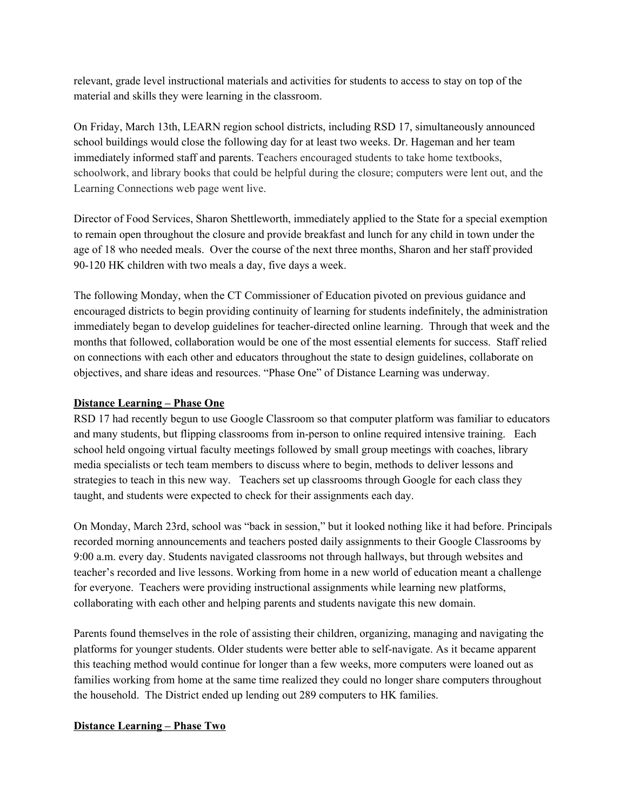relevant, grade level instructional materials and activities for students to access to stay on top of the material and skills they were learning in the classroom.

On Friday, March 13th, LEARN region school districts, including RSD 17, simultaneously announced school buildings would close the following day for at least two weeks. Dr. Hageman and her team immediately informed staff and parents. Teachers encouraged students to take home textbooks, schoolwork, and library books that could be helpful during the closure; computers were lent out, and the Learning Connections web page went live.

Director of Food Services, Sharon Shettleworth, immediately applied to the State for a special exemption to remain open throughout the closure and provide breakfast and lunch for any child in town under the age of 18 who needed meals. Over the course of the next three months, Sharon and her staff provided 90-120 HK children with two meals a day, five days a week.

The following Monday, when the CT Commissioner of Education pivoted on previous guidance and encouraged districts to begin providing continuity of learning for students indefinitely, the administration immediately began to develop guidelines for teacher-directed online learning. Through that week and the months that followed, collaboration would be one of the most essential elements for success. Staff relied on connections with each other and educators throughout the state to design guidelines, collaborate on objectives, and share ideas and resources. "Phase One" of Distance Learning was underway.

## **Distance Learning – Phase One**

RSD 17 had recently begun to use Google Classroom so that computer platform was familiar to educators and many students, but flipping classrooms from in-person to online required intensive training. Each school held ongoing virtual faculty meetings followed by small group meetings with coaches, library media specialists or tech team members to discuss where to begin, methods to deliver lessons and strategies to teach in this new way. Teachers set up classrooms through Google for each class they taught, and students were expected to check for their assignments each day.

On Monday, March 23rd, school was "back in session," but it looked nothing like it had before. Principals recorded morning announcements and teachers posted daily assignments to their Google Classrooms by 9:00 a.m. every day. Students navigated classrooms not through hallways, but through websites and teacher's recorded and live lessons. Working from home in a new world of education meant a challenge for everyone. Teachers were providing instructional assignments while learning new platforms, collaborating with each other and helping parents and students navigate this new domain.

Parents found themselves in the role of assisting their children, organizing, managing and navigating the platforms for younger students. Older students were better able to self-navigate. As it became apparent this teaching method would continue for longer than a few weeks, more computers were loaned out as families working from home at the same time realized they could no longer share computers throughout the household. The District ended up lending out 289 computers to HK families.

## **Distance Learning – Phase Two**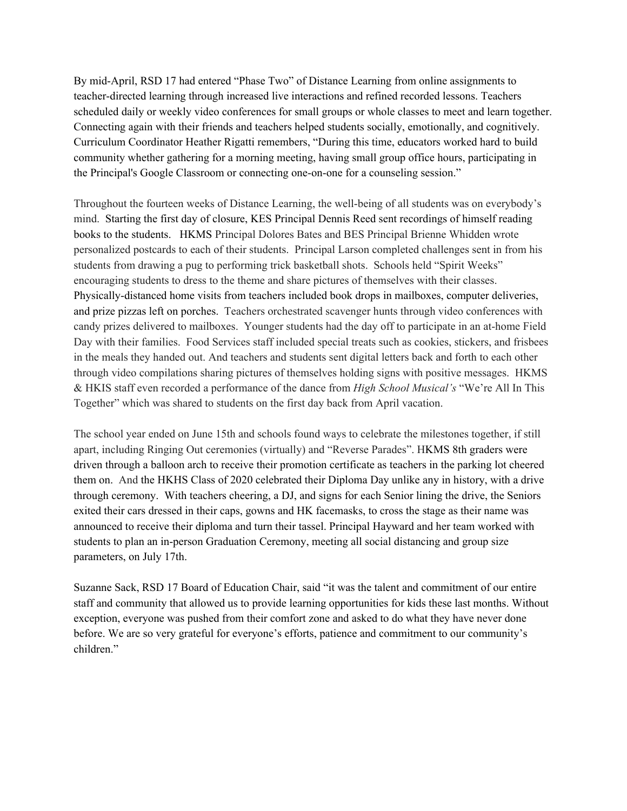By mid-April, RSD 17 had entered "Phase Two" of Distance Learning from online assignments to teacher-directed learning through increased live interactions and refined recorded lessons. Teachers scheduled daily or weekly video conferences for small groups or whole classes to meet and learn together. Connecting again with their friends and teachers helped students socially, emotionally, and cognitively. Curriculum Coordinator Heather Rigatti remembers, "During this time, educators worked hard to build community whether gathering for a morning meeting, having small group office hours, participating in the Principal's Google Classroom or connecting one-on-one for a counseling session."

Throughout the fourteen weeks of Distance Learning, the well-being of all students was on everybody's mind. Starting the first day of closure, KES Principal Dennis Reed sent recordings of himself reading books to the students. HKMS Principal Dolores Bates and BES Principal Brienne Whidden wrote personalized postcards to each of their students. Principal Larson completed challenges sent in from his students from drawing a pug to performing trick basketball shots. Schools held "Spirit Weeks" encouraging students to dress to the theme and share pictures of themselves with their classes. Physically-distanced home visits from teachers included book drops in mailboxes, computer deliveries, and prize pizzas left on porches. Teachers orchestrated scavenger hunts through video conferences with candy prizes delivered to mailboxes. Younger students had the day off to participate in an at-home Field Day with their families. Food Services staff included special treats such as cookies, stickers, and frisbees in the meals they handed out. And teachers and students sent digital letters back and forth to each other through video compilations sharing pictures of themselves holding signs with positive messages. HKMS & HKIS staff even recorded a performance of the dance from *High School Musical's* "We're All In This Together" which was shared to students on the first day back from April vacation.

The school year ended on June 15th and schools found ways to celebrate the milestones together, if still apart, including Ringing Out ceremonies (virtually) and "Reverse Parades". HKMS 8th graders were driven through a balloon arch to receive their promotion certificate as teachers in the parking lot cheered them on. And the HKHS Class of 2020 celebrated their Diploma Day unlike any in history, with a drive through ceremony. With teachers cheering, a DJ, and signs for each Senior lining the drive, the Seniors exited their cars dressed in their caps, gowns and HK facemasks, to cross the stage as their name was announced to receive their diploma and turn their tassel. Principal Hayward and her team worked with students to plan an in-person Graduation Ceremony, meeting all social distancing and group size parameters, on July 17th.

Suzanne Sack, RSD 17 Board of Education Chair, said "it was the talent and commitment of our entire staff and community that allowed us to provide learning opportunities for kids these last months. Without exception, everyone was pushed from their comfort zone and asked to do what they have never done before. We are so very grateful for everyone's efforts, patience and commitment to our community's children."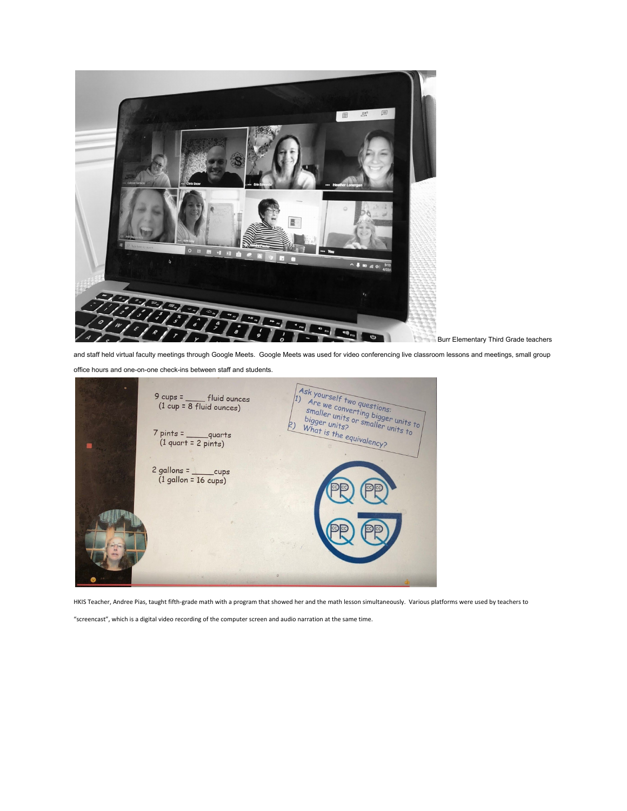

Burr Elementary Third Grade teachers

and staff held virtual faculty meetings through Google Meets. Google Meets was used for video conferencing live classroom lessons and meetings, small group

office hours and one-on-one check-ins between staff and students.



HKIS Teacher, Andree Pias, taught fifth-grade math with a program that showed her and the math lesson simultaneously. Various platforms were used by teachers to

"screencast", which is a digital video recording of the computer screen and audio narration at the same time.